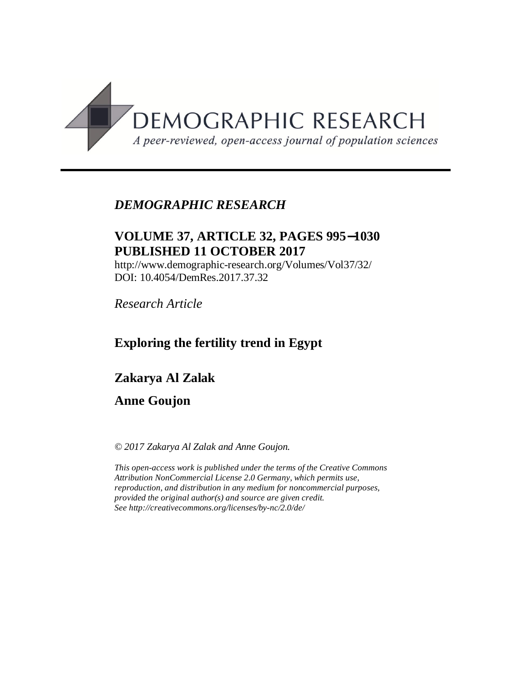

## *DEMOGRAPHIC RESEARCH*

## **VOLUME 37, ARTICLE 32, PAGES 995**-**1030 PUBLISHED 11 OCTOBER 2017**

http://www.demographic-research.org/Volumes/Vol37/32/ DOI: 10.4054/DemRes.2017.37.32

*Research Article*

## **Exploring the fertility trend in Egypt**

**Zakarya Al Zalak**

### **Anne Goujon**

*© 2017 Zakarya Al Zalak and Anne Goujon.*

*This open-access work is published under the terms of the Creative Commons Attribution NonCommercial License 2.0 Germany, which permits use, reproduction, and distribution in any medium for noncommercial purposes, provided the original author(s) and source are given credit. See <http://creativecommons.org/licenses/by-nc/2.0/de/>*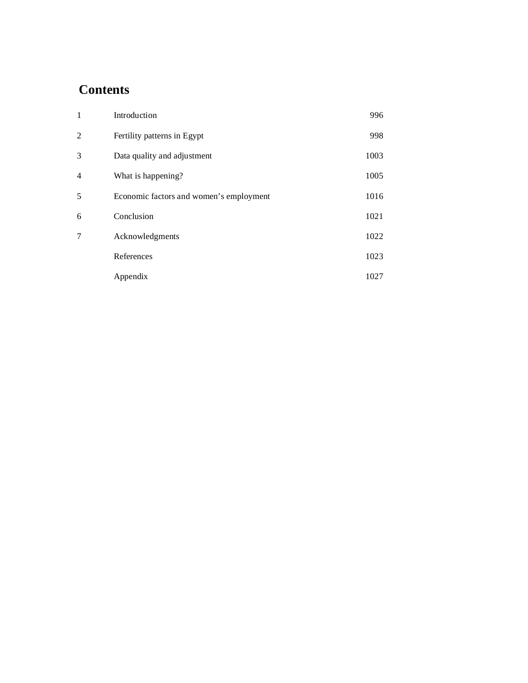# **Contents**

| $\mathbf{1}$             | Introduction                            | 996  |
|--------------------------|-----------------------------------------|------|
| $\overline{c}$           | Fertility patterns in Egypt             | 998  |
| 3                        | Data quality and adjustment             | 1003 |
| $\overline{\mathcal{L}}$ | What is happening?                      | 1005 |
| 5                        | Economic factors and women's employment | 1016 |
| 6                        | Conclusion                              | 1021 |
| 7                        | Acknowledgments                         | 1022 |
|                          | References                              | 1023 |
|                          | Appendix                                | 1027 |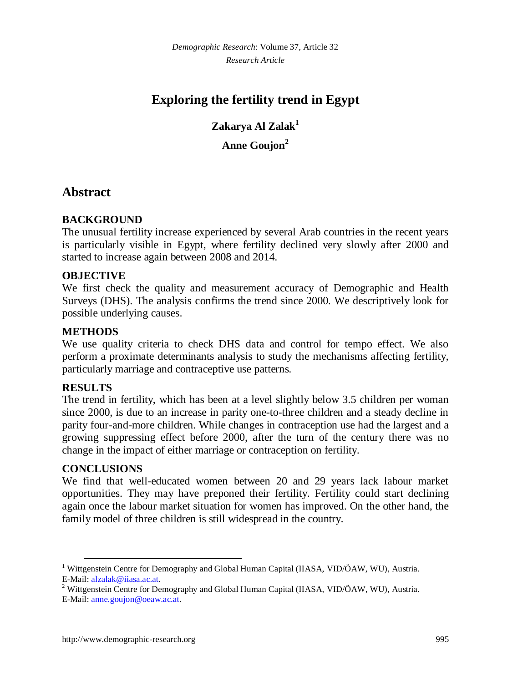*Demographic Research*: Volume 37, Article 32 *Research Article*

# **Exploring the fertility trend in Egypt**

**Zakarya Al Zalak[1](#page-2-0) Anne Goujon[2](#page-2-1)**

### **Abstract**

#### **BACKGROUND**

The unusual fertility increase experienced by several Arab countries in the recent years is particularly visible in Egypt, where fertility declined very slowly after 2000 and started to increase again between 2008 and 2014.

#### **OBJECTIVE**

We first check the quality and measurement accuracy of Demographic and Health Surveys (DHS). The analysis confirms the trend since 2000. We descriptively look for possible underlying causes.

#### **METHODS**

We use quality criteria to check DHS data and control for tempo effect. We also perform a proximate determinants analysis to study the mechanisms affecting fertility, particularly marriage and contraceptive use patterns.

#### **RESULTS**

The trend in fertility, which has been at a level slightly below 3.5 children per woman since 2000, is due to an increase in parity one-to-three children and a steady decline in parity four-and-more children. While changes in contraception use had the largest and a growing suppressing effect before 2000, after the turn of the century there was no change in the impact of either marriage or contraception on fertility.

#### **CONCLUSIONS**

We find that well-educated women between 20 and 29 years lack labour market opportunities. They may have preponed their fertility. Fertility could start declining again once the labour market situation for women has improved. On the other hand, the family model of three children is still widespread in the country.

<span id="page-2-0"></span><sup>&</sup>lt;sup>1</sup> Wittgenstein Centre for Demography and Global Human Capital (IIASA, VID/ÖAW, WU), Austria. E-Mail: [alzalak@iiasa.ac.at.](mailto:alzalak@iiasa.ac.at)

<span id="page-2-1"></span><sup>&</sup>lt;sup>2</sup> Wittgenstein Centre for Demography and Global Human Capital (IIASA, VID/ÖAW, WU), Austria. E-Mail: [anne.goujon@oeaw.ac.at.](mailto:anne.goujon@oeaw.ac.at)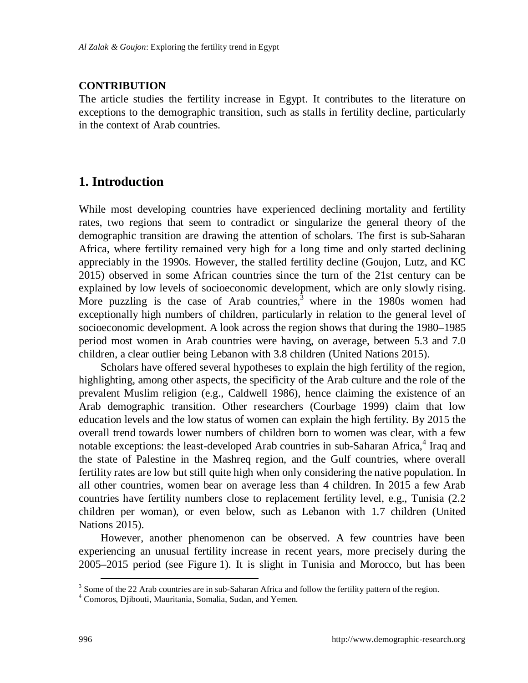#### **CONTRIBUTION**

The article studies the fertility increase in Egypt. It contributes to the literature on exceptions to the demographic transition, such as stalls in fertility decline, particularly in the context of Arab countries.

## **1. Introduction**

While most developing countries have experienced declining mortality and fertility rates, two regions that seem to contradict or singularize the general theory of the demographic transition are drawing the attention of scholars. The first is sub-Saharan Africa, where fertility remained very high for a long time and only started declining appreciably in the 1990s. However, the stalled fertility decline (Goujon, Lutz, and KC 2015) observed in some African countries since the turn of the 21st century can be explained by low levels of socioeconomic development, which are only slowly rising. More puzzling is the case of Arab countries, where in the 1980s women had exceptionally high numbers of children, particularly in relation to the general level of socioeconomic development. A look across the region shows that during the 1980–1985 period most women in Arab countries were having, on average, between 5.3 and 7.0 children, a clear outlier being Lebanon with 3.8 children (United Nations 2015).

Scholars have offered several hypotheses to explain the high fertility of the region, highlighting, among other aspects, the specificity of the Arab culture and the role of the prevalent Muslim religion (e.g., Caldwell 1986), hence claiming the existence of an Arab demographic transition. Other researchers (Courbage 1999) claim that low education levels and the low status of women can explain the high fertility. By 2015 the overall trend towards lower numbers of children born to women was clear, with a few notable exceptions: the least-developed Arab countries in sub-Saharan Africa,<sup>[4](#page-3-1)</sup> Iraq and the state of Palestine in the Mashreq region, and the Gulf countries, where overall fertility rates are low but still quite high when only considering the native population. In all other countries, women bear on average less than 4 children. In 2015 a few Arab countries have fertility numbers close to replacement fertility level, e.g., Tunisia (2.2 children per woman), or even below, such as Lebanon with 1.7 children (United Nations 2015).

However, another phenomenon can be observed. A few countries have been experiencing an unusual fertility increase in recent years, more precisely during the 2005–2015 period (see Figure 1). It is slight in Tunisia and Morocco, but has been

<span id="page-3-0"></span><sup>&</sup>lt;sup>3</sup> Some of the 22 Arab countries are in sub-Saharan Africa and follow the fertility pattern of the region.

<span id="page-3-1"></span><sup>4</sup> Comoros, Djibouti, Mauritania, Somalia, Sudan, and Yemen.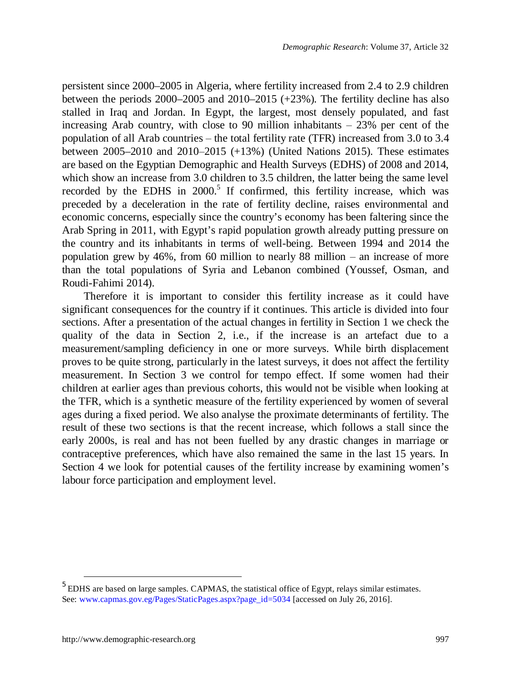persistent since 2000–2005 in Algeria, where fertility increased from 2.4 to 2.9 children between the periods 2000–2005 and 2010–2015 (+23%). The fertility decline has also stalled in Iraq and Jordan. In Egypt, the largest, most densely populated, and fast increasing Arab country, with close to 90 million inhabitants  $-23%$  per cent of the population of all Arab countries – the total fertility rate (TFR) increased from 3.0 to 3.4 between  $2005-2010$  and  $2010-2015$  (+13%) (United Nations 2015). These estimates are based on the Egyptian Demographic and Health Surveys (EDHS) of 2008 and 2014, which show an increase from 3.0 children to 3.5 children, the latter being the same level recordedby the EDHS in 2000.<sup>5</sup> If confirmed, this fertility increase, which was preceded by a deceleration in the rate of fertility decline, raises environmental and economic concerns, especially since the country's economy has been faltering since the Arab Spring in 2011, with Egypt's rapid population growth already putting pressure on the country and its inhabitants in terms of well-being. Between 1994 and 2014 the population grew by  $46\%$ , from 60 million to nearly 88 million – an increase of more than the total populations of Syria and Lebanon combined (Youssef, Osman, and Roudi-Fahimi 2014).

Therefore it is important to consider this fertility increase as it could have significant consequences for the country if it continues. This article is divided into four sections. After a presentation of the actual changes in fertility in Section 1 we check the quality of the data in Section 2, i.e., if the increase is an artefact due to a measurement/sampling deficiency in one or more surveys. While birth displacement proves to be quite strong, particularly in the latest surveys, it does not affect the fertility measurement. In Section 3 we control for tempo effect. If some women had their children at earlier ages than previous cohorts, this would not be visible when looking at the TFR, which is a synthetic measure of the fertility experienced by women of several ages during a fixed period. We also analyse the proximate determinants of fertility. The result of these two sections is that the recent increase, which follows a stall since the early 2000s, is real and has not been fuelled by any drastic changes in marriage or contraceptive preferences, which have also remained the same in the last 15 years. In Section 4 we look for potential causes of the fertility increase by examining women's labour force participation and employment level.

<span id="page-4-0"></span> $<sup>5</sup>$  EDHS are based on large samples. CAPMAS, the statistical office of Egypt, relays similar estimates.</sup> See: [www.capmas.gov.eg/Pages/StaticPages.aspx?page\\_id=5034 \[acc](http://www.capmas.gov.eg/Pages/StaticPages.aspx?page_id=5034)essed on July 26, 2016].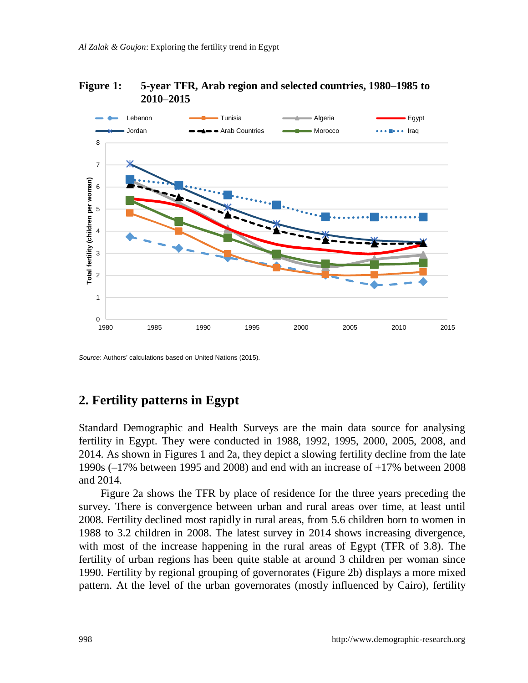



*Source*: Authors' calculations based on United Nations (2015).

### **2. Fertility patterns in Egypt**

Standard Demographic and Health Surveys are the main data source for analysing fertility in Egypt. They were conducted in 1988, 1992, 1995, 2000, 2005, 2008, and 2014. As shown in Figures 1 and 2a, they depict a slowing fertility decline from the late 1990s (‒17% between 1995 and 2008) and end with an increase of +17% between 2008 and 2014.

Figure 2a shows the TFR by place of residence for the three years preceding the survey. There is convergence between urban and rural areas over time, at least until 2008. Fertility declined most rapidly in rural areas, from 5.6 children born to women in 1988 to 3.2 children in 2008. The latest survey in 2014 shows increasing divergence, with most of the increase happening in the rural areas of Egypt (TFR of 3.8). The fertility of urban regions has been quite stable at around 3 children per woman since 1990. Fertility by regional grouping of governorates (Figure 2b) displays a more mixed pattern. At the level of the urban governorates (mostly influenced by Cairo), fertility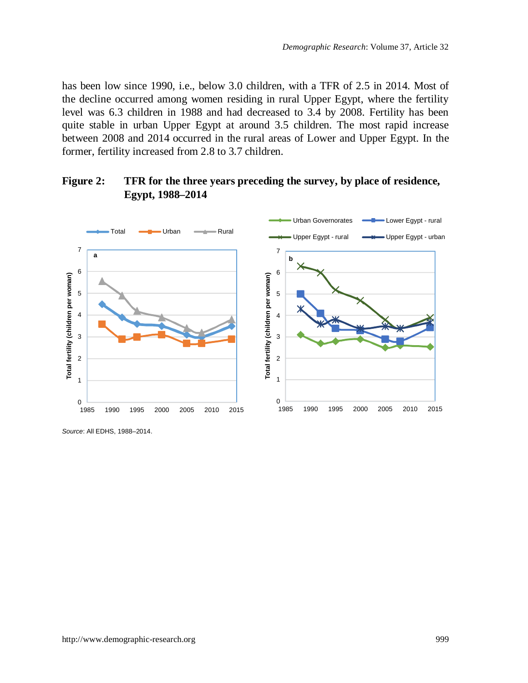has been low since 1990, i.e., below 3.0 children, with a TFR of 2.5 in 2014. Most of the decline occurred among women residing in rural Upper Egypt, where the fertility level was 6.3 children in 1988 and had decreased to 3.4 by 2008. Fertility has been quite stable in urban Upper Egypt at around 3.5 children. The most rapid increase between 2008 and 2014 occurred in the rural areas of Lower and Upper Egypt. In the former, fertility increased from 2.8 to 3.7 children.

### **Figure 2: TFR for the three years preceding the survey, by place of residence, Egypt, 1988–2014**



*Source*: All EDHS, 1988–2014.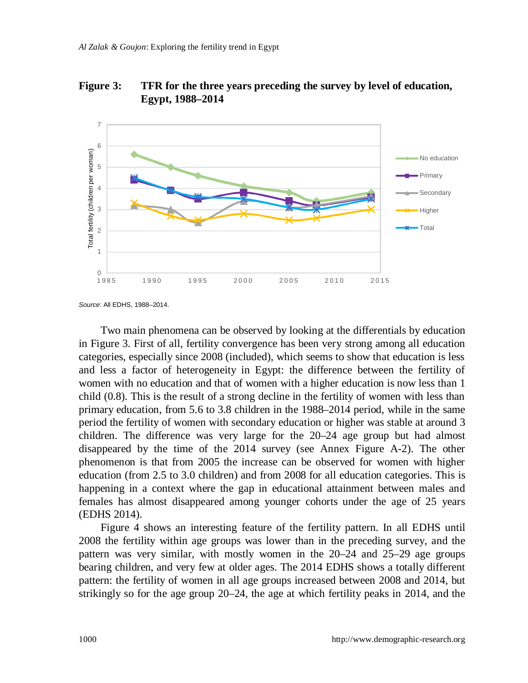**Figure 3: TFR for the three years preceding the survey by level of education, Egypt, 1988–2014**



*Source*: All EDHS, 1988–2014.

Two main phenomena can be observed by looking at the differentials by education in Figure 3. First of all, fertility convergence has been very strong among all education categories, especially since 2008 (included), which seems to show that education is less and less a factor of heterogeneity in Egypt: the difference between the fertility of women with no education and that of women with a higher education is now less than 1 child (0.8). This is the result of a strong decline in the fertility of women with less than primary education, from 5.6 to 3.8 children in the 1988–2014 period, while in the same period the fertility of women with secondary education or higher was stable at around 3 children. The difference was very large for the 20–24 age group but had almost disappeared by the time of the 2014 survey (see Annex Figure A-2). The other phenomenon is that from 2005 the increase can be observed for women with higher education (from 2.5 to 3.0 children) and from 2008 for all education categories. This is happening in a context where the gap in educational attainment between males and females has almost disappeared among younger cohorts under the age of 25 years (EDHS 2014).

Figure 4 shows an interesting feature of the fertility pattern. In all EDHS until 2008 the fertility within age groups was lower than in the preceding survey, and the pattern was very similar, with mostly women in the 20–24 and 25–29 age groups bearing children, and very few at older ages. The 2014 EDHS shows a totally different pattern: the fertility of women in all age groups increased between 2008 and 2014, but strikingly so for the age group 20–24, the age at which fertility peaks in 2014, and the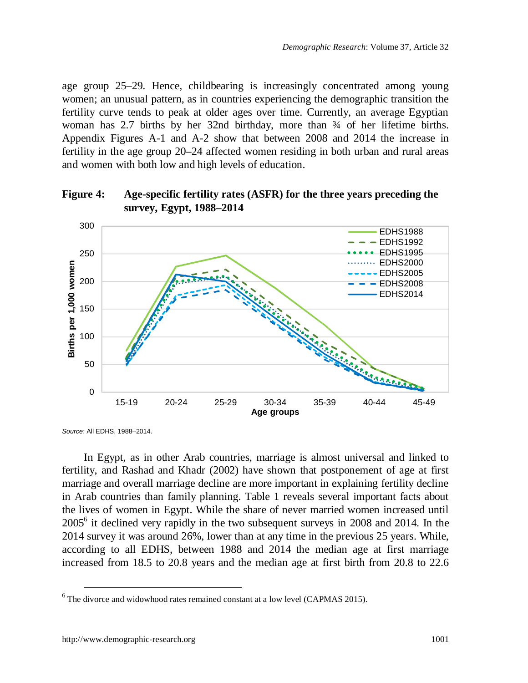age group 25–29. Hence, childbearing is increasingly concentrated among young women; an unusual pattern, as in countries experiencing the demographic transition the fertility curve tends to peak at older ages over time. Currently, an average Egyptian woman has 2.7 births by her 32nd birthday, more than  $\frac{3}{4}$  of her lifetime births. Appendix Figures A-1 and A-2 show that between 2008 and 2014 the increase in fertility in the age group 20–24 affected women residing in both urban and rural areas and women with both low and high levels of education.





*Source*: All EDHS, 1988–2014.

In Egypt, as in other Arab countries, marriage is almost universal and linked to fertility, and Rashad and Khadr (2002) have shown that postponement of age at first marriage and overall marriage decline are more important in explaining fertility decline in Arab countries than family planning. Table 1 reveals several important facts about the lives of women in Egypt. While the share of never married women increased until 2005<sup>6</sup>it declined very rapidly in the two subsequent surveys in 2008 and 2014. In the 2014 survey it was around 26%, lower than at any time in the previous 25 years. While, according to all EDHS, between 1988 and 2014 the median age at first marriage increased from 18.5 to 20.8 years and the median age at first birth from 20.8 to 22.6

<span id="page-8-0"></span> $<sup>6</sup>$  The divorce and widowhood rates remained constant at a low level (CAPMAS 2015).</sup>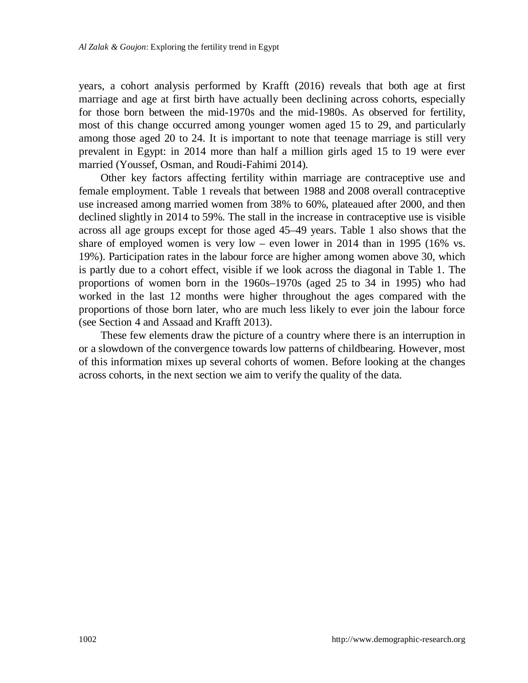years, a cohort analysis performed by Krafft (2016) reveals that both age at first marriage and age at first birth have actually been declining across cohorts, especially for those born between the mid-1970s and the mid-1980s. As observed for fertility, most of this change occurred among younger women aged 15 to 29, and particularly among those aged 20 to 24. It is important to note that teenage marriage is still very prevalent in Egypt: in 2014 more than half a million girls aged 15 to 19 were ever married (Youssef, Osman, and Roudi-Fahimi 2014).

Other key factors affecting fertility within marriage are contraceptive use and female employment. Table 1 reveals that between 1988 and 2008 overall contraceptive use increased among married women from 38% to 60%, plateaued after 2000, and then declined slightly in 2014 to 59%. The stall in the increase in contraceptive use is visible across all age groups except for those aged 45–49 years. Table 1 also shows that the share of employed women is very low – even lower in 2014 than in 1995 (16% vs. 19%). Participation rates in the labour force are higher among women above 30, which is partly due to a cohort effect, visible if we look across the diagonal in Table 1. The proportions of women born in the 1960s–1970s (aged 25 to 34 in 1995) who had worked in the last 12 months were higher throughout the ages compared with the proportions of those born later, who are much less likely to ever join the labour force (see Section 4 and Assaad and Krafft 2013).

These few elements draw the picture of a country where there is an interruption in or a slowdown of the convergence towards low patterns of childbearing. However, most of this information mixes up several cohorts of women. Before looking at the changes across cohorts, in the next section we aim to verify the quality of the data.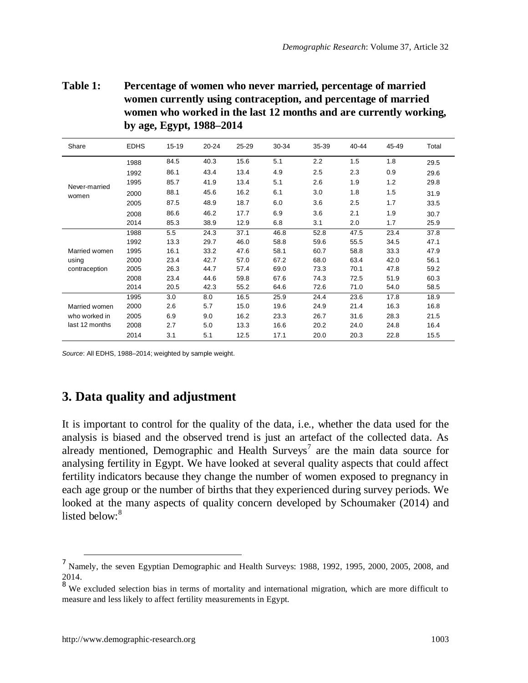**Table 1: Percentage of women who never married, percentage of married women currently using contraception, and percentage of married women who worked in the last 12 months and are currently working, by age, Egypt, 1988–2014**

| Share          | <b>EDHS</b> | 15-19 | $20 - 24$ | 25-29 | 30-34 | 35-39 | 40-44 | 45-49 | Total |
|----------------|-------------|-------|-----------|-------|-------|-------|-------|-------|-------|
|                | 1988        | 84.5  | 40.3      | 15.6  | 5.1   | 2.2   | 1.5   | 1.8   | 29.5  |
|                | 1992        | 86.1  | 43.4      | 13.4  | 4.9   | 2.5   | 2.3   | 0.9   | 29.6  |
| Never-married  | 1995        | 85.7  | 41.9      | 13.4  | 5.1   | 2.6   | 1.9   | 1.2   | 29.8  |
| women          | 2000        | 88.1  | 45.6      | 16.2  | 6.1   | 3.0   | 1.8   | 1.5   | 31.9  |
|                | 2005        | 87.5  | 48.9      | 18.7  | 6.0   | 3.6   | 2.5   | 1.7   | 33.5  |
|                | 2008        | 86.6  | 46.2      | 17.7  | 6.9   | 3.6   | 2.1   | 1.9   | 30.7  |
|                | 2014        | 85.3  | 38.9      | 12.9  | 6.8   | 3.1   | 2.0   | 1.7   | 25.9  |
|                | 1988        | 5.5   | 24.3      | 37.1  | 46.8  | 52.8  | 47.5  | 23.4  | 37.8  |
|                | 1992        | 13.3  | 29.7      | 46.0  | 58.8  | 59.6  | 55.5  | 34.5  | 47.1  |
| Married women  | 1995        | 16.1  | 33.2      | 47.6  | 58.1  | 60.7  | 58.8  | 33.3  | 47.9  |
| using          | 2000        | 23.4  | 42.7      | 57.0  | 67.2  | 68.0  | 63.4  | 42.0  | 56.1  |
| contraception  | 2005        | 26.3  | 44.7      | 57.4  | 69.0  | 73.3  | 70.1  | 47.8  | 59.2  |
|                | 2008        | 23.4  | 44.6      | 59.8  | 67.6  | 74.3  | 72.5  | 51.9  | 60.3  |
|                | 2014        | 20.5  | 42.3      | 55.2  | 64.6  | 72.6  | 71.0  | 54.0  | 58.5  |
|                | 1995        | 3.0   | 8.0       | 16.5  | 25.9  | 24.4  | 23.6  | 17.8  | 18.9  |
| Married women  | 2000        | 2.6   | 5.7       | 15.0  | 19.6  | 24.9  | 21.4  | 16.3  | 16.8  |
| who worked in  | 2005        | 6.9   | 9.0       | 16.2  | 23.3  | 26.7  | 31.6  | 28.3  | 21.5  |
| last 12 months | 2008        | 2.7   | 5.0       | 13.3  | 16.6  | 20.2  | 24.0  | 24.8  | 16.4  |
|                | 2014        | 3.1   | 5.1       | 12.5  | 17.1  | 20.0  | 20.3  | 22.8  | 15.5  |

*Source*: All EDHS, 1988–2014; weighted by sample weight.

## **3. Data quality and adjustment**

It is important to control for the quality of the data, i.e., whether the data used for the analysis is biased and the observed trend is just an artefact of the collected data. As alreadymentioned, Demographic and Health Surveys<sup>7</sup> are the main data source for analysing fertility in Egypt. We have looked at several quality aspects that could affect fertility indicators because they change the number of women exposed to pregnancy in each age group or the number of births that they experienced during survey periods. We looked at the many aspects of quality concern developed by Schoumaker (2014) and listed below: $8$ 

<span id="page-10-0"></span><sup>&</sup>lt;sup>7</sup> Namely, the seven Egyptian Demographic and Health Surveys: 1988, 1992, 1995, 2000, 2005, 2008, and 2014.

<span id="page-10-1"></span><sup>&</sup>lt;sup>8</sup> We excluded selection bias in terms of mortality and international migration, which are more difficult to measure and less likely to affect fertility measurements in Egypt.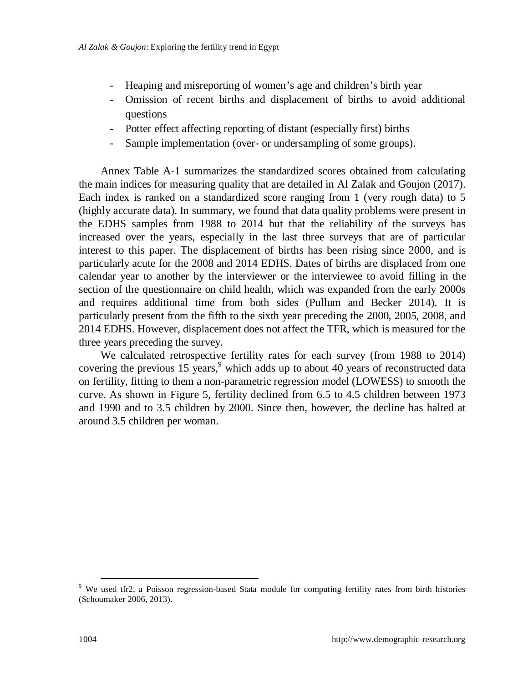- Heaping and misreporting of women's age and children's birth year
- Omission of recent births and displacement of births to avoid additional questions
- Potter effect affecting reporting of distant (especially first) births
- Sample implementation (over- or undersampling of some groups).

Annex Table A-1 summarizes the standardized scores obtained from calculating the main indices for measuring quality that are detailed in Al Zalak and Goujon (2017). Each index is ranked on a standardized score ranging from 1 (very rough data) to 5 (highly accurate data). In summary, we found that data quality problems were present in the EDHS samples from 1988 to 2014 but that the reliability of the surveys has increased over the years, especially in the last three surveys that are of particular interest to this paper. The displacement of births has been rising since 2000, and is particularly acute for the 2008 and 2014 EDHS. Dates of births are displaced from one calendar year to another by the interviewer or the interviewee to avoid filling in the section of the questionnaire on child health, which was expanded from the early 2000s and requires additional time from both sides (Pullum and Becker 2014). It is particularly present from the fifth to the sixth year preceding the 2000, 2005, 2008, and 2014 EDHS. However, displacement does not affect the TFR, which is measured for the three years preceding the survey.

We calculated retrospective fertility rates for each survey (from 1988 to 2014) covering the previous 15 years, $9$  which adds up to about 40 years of reconstructed data on fertility, fitting to them a non-parametric regression model (LOWESS) to smooth the curve. As shown in Figure 5, fertility declined from 6.5 to 4.5 children between 1973 and 1990 and to 3.5 children by 2000. Since then, however, the decline has halted at around 3.5 children per woman.

<span id="page-11-0"></span><sup>&</sup>lt;sup>9</sup> We used tfr2, a Poisson regression-based Stata module for computing fertility rates from birth histories (Schoumaker 2006, 2013).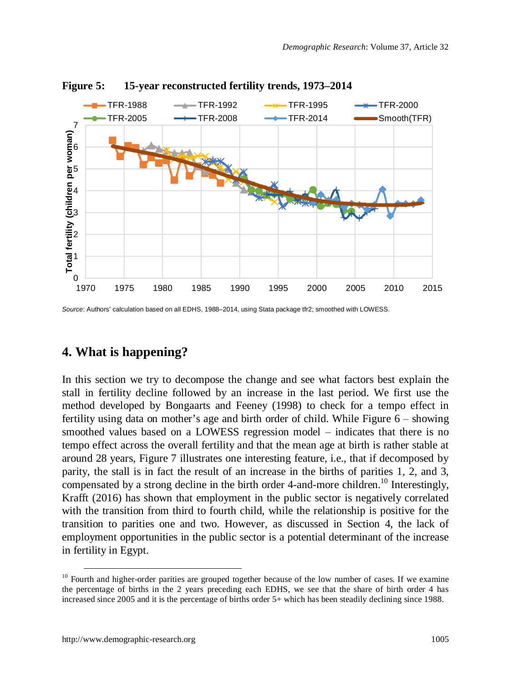

#### **Figure 5: 15-year reconstructed fertility trends, 1973–2014**

*Source*: Authors' calculation based on all EDHS, 1988–2014, using Stata package tfr2; smoothed with LOWESS.

## **4. What is happening?**

In this section we try to decompose the change and see what factors best explain the stall in fertility decline followed by an increase in the last period. We first use the method developed by Bongaarts and Feeney (1998) to check for a tempo effect in fertility using data on mother's age and birth order of child. While Figure  $6 -$  showing smoothed values based on a LOWESS regression model – indicates that there is no tempo effect across the overall fertility and that the mean age at birth is rather stable at around 28 years, Figure 7 illustrates one interesting feature, i.e., that if decomposed by parity, the stall is in fact the result of an increase in the births of parities 1, 2, and 3, compensated by a strong decline in the birth order 4-and-more children.<sup>[10](#page-12-0)</sup> Interestingly, Krafft (2016) has shown that employment in the public sector is negatively correlated with the transition from third to fourth child, while the relationship is positive for the transition to parities one and two. However, as discussed in Section 4, the lack of employment opportunities in the public sector is a potential determinant of the increase in fertility in Egypt.

<span id="page-12-0"></span><sup>&</sup>lt;sup>10</sup> Fourth and higher-order parities are grouped together because of the low number of cases. If we examine the percentage of births in the 2 years preceding each EDHS, we see that the share of birth order 4 has increased since 2005 and it is the percentage of births order 5+ which has been steadily declining since 1988.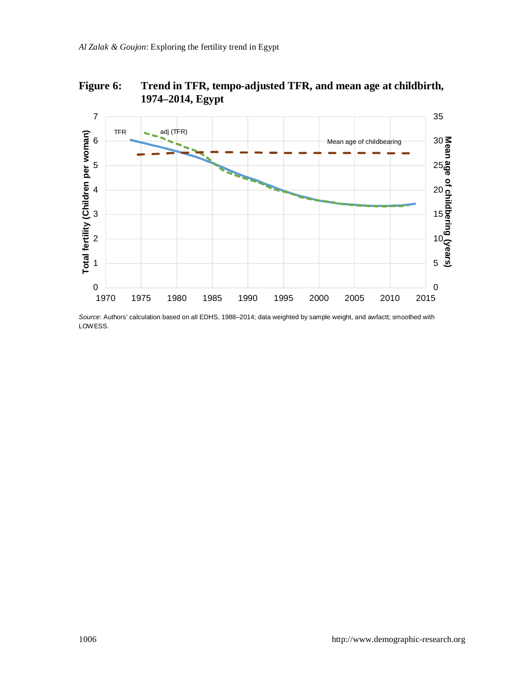

**Figure 6: Trend in TFR, tempo-adjusted TFR, and mean age at childbirth,**

*Source*: Authors' calculation based on all EDHS, 1988–2014; data weighted by sample weight, and awfactt; smoothed with LOWESS.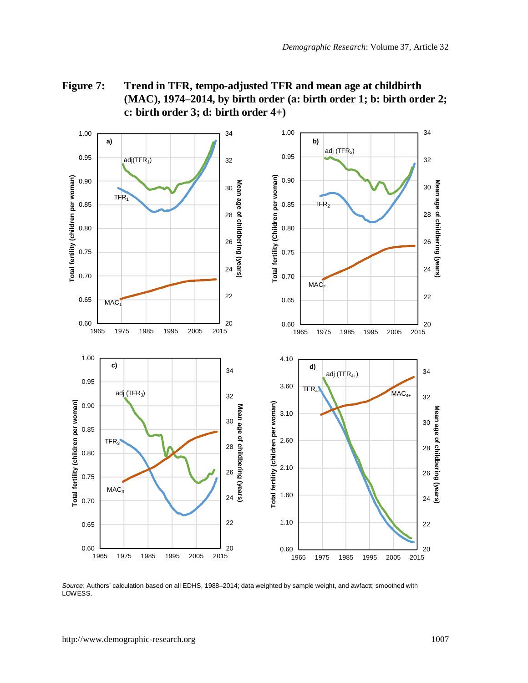**Figure 7: Trend in TFR, tempo-adjusted TFR and mean age at childbirth (MAC), 1974–2014, by birth order (a: birth order 1; b: birth order 2; c: birth order 3; d: birth order 4+)**



*Source*: Authors' calculation based on all EDHS, 1988–2014; data weighted by sample weight, and awfactt; smoothed with LOWESS.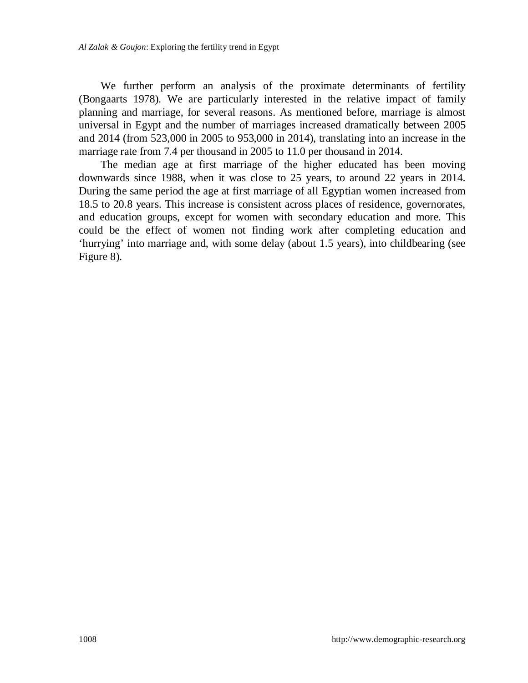We further perform an analysis of the proximate determinants of fertility (Bongaarts 1978). We are particularly interested in the relative impact of family planning and marriage, for several reasons. As mentioned before, marriage is almost universal in Egypt and the number of marriages increased dramatically between 2005 and 2014 (from 523,000 in 2005 to 953,000 in 2014), translating into an increase in the marriage rate from 7.4 per thousand in 2005 to 11.0 per thousand in 2014.

The median age at first marriage of the higher educated has been moving downwards since 1988, when it was close to 25 years, to around 22 years in 2014. During the same period the age at first marriage of all Egyptian women increased from 18.5 to 20.8 years. This increase is consistent across places of residence, governorates, and education groups, except for women with secondary education and more. This could be the effect of women not finding work after completing education and 'hurrying' into marriage and, with some delay (about 1.5 years), into childbearing (see Figure 8).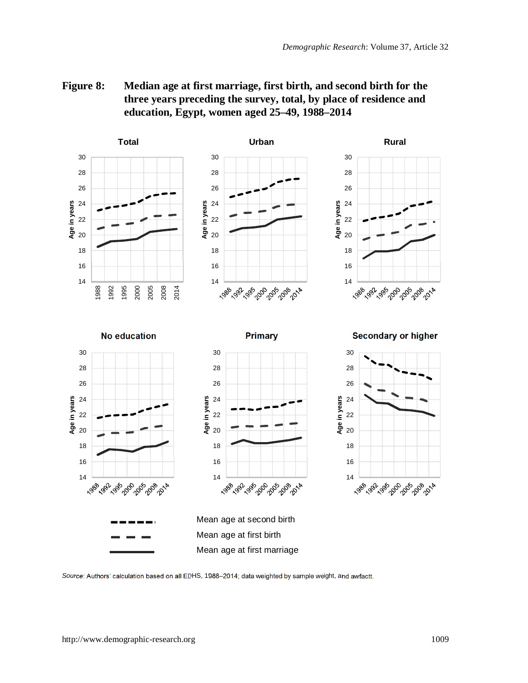



*Source*: Authors' calculation based on all EDHS, 1988–2014; data weighted by sample weight, and awfactt.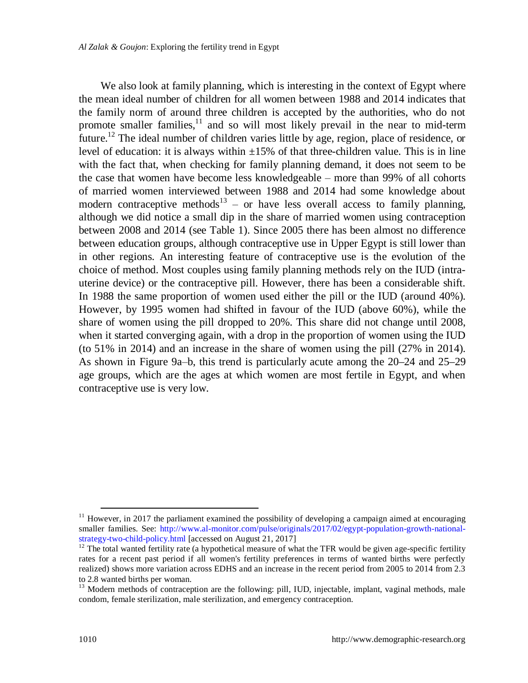We also look at family planning, which is interesting in the context of Egypt where the mean ideal number of children for all women between 1988 and 2014 indicates that the family norm of around three children is accepted by the authorities, who do not promote smaller families, $\frac{11}{11}$  $\frac{11}{11}$  $\frac{11}{11}$  and so will most likely prevail in the near to mid-term future.<sup>[12](#page-17-1)</sup> The ideal number of children varies little by age, region, place of residence, or level of education: it is always within  $\pm 15\%$  of that three-children value. This is in line with the fact that, when checking for family planning demand, it does not seem to be the case that women have become less knowledgeable – more than 99% of all cohorts of married women interviewed between 1988 and 2014 had some knowledge about moderncontraceptive methods<sup>13</sup> – or have less overall access to family planning, although we did notice a small dip in the share of married women using contraception between 2008 and 2014 (see Table 1). Since 2005 there has been almost no difference between education groups, although contraceptive use in Upper Egypt is still lower than in other regions. An interesting feature of contraceptive use is the evolution of the choice of method. Most couples using family planning methods rely on the IUD (intrauterine device) or the contraceptive pill. However, there has been a considerable shift. In 1988 the same proportion of women used either the pill or the IUD (around 40%). However, by 1995 women had shifted in favour of the IUD (above 60%), while the share of women using the pill dropped to 20%. This share did not change until 2008, when it started converging again, with a drop in the proportion of women using the IUD (to 51% in 2014) and an increase in the share of women using the pill (27% in 2014). As shown in Figure 9a–b, this trend is particularly acute among the  $20-24$  and  $25-29$ age groups, which are the ages at which women are most fertile in Egypt, and when contraceptive use is very low.

<span id="page-17-0"></span> $11$  However, in 2017 the parliament examined the possibility of developing a campaign aimed at encouraging smaller families. See: [http://www.al-monitor.com/pulse/originals/2017/02/egypt-population-growth-national](http://www.al-monitor.com/pulse/originals/2017/02/egypt-population-growth-national-strategy-two-child-policy.html)strategy-two-child-policy.html [accessed on August 21, 2017]

<span id="page-17-1"></span> $12$  The total wanted fertility rate (a hypothetical measure of what the TFR would be given age-specific fertility rates for a recent past period if all women's fertility preferences in terms of wanted births were perfectly realized) shows more variation across EDHS and an increase in the recent period from 2005 to 2014 from 2.3 to 2.8 wanted births per woman.

<span id="page-17-2"></span> $13$  Modern methods of contraception are the following: pill, IUD, injectable, implant, vaginal methods, male condom, female sterilization, male sterilization, and emergency contraception.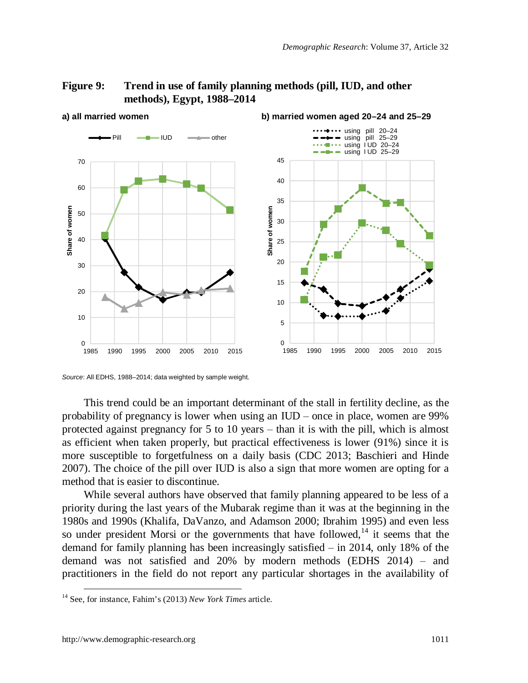#### **Figure 9: Trend in use of family planning methods (pill, IUD, and other methods), Egypt, 1988–2014**



**a) all married women b) married women aged 20–24 and 25–29**

This trend could be an important determinant of the stall in fertility decline, as the probability of pregnancy is lower when using an  $IUD$  – once in place, women are 99% protected against pregnancy for 5 to 10 years  $-$  than it is with the pill, which is almost as efficient when taken properly, but practical effectiveness is lower (91%) since it is more susceptible to forgetfulness on a daily basis (CDC 2013; Baschieri and Hinde 2007). The choice of the pill over IUD is also a sign that more women are opting for a method that is easier to discontinue.

While several authors have observed that family planning appeared to be less of a priority during the last years of the Mubarak regime than it was at the beginning in the 1980s and 1990s (Khalifa, DaVanzo, and Adamson 2000; Ibrahim 1995) and even less so under president Morsi or the governments that have followed, $14$  it seems that the demand for family planning has been increasingly satisfied  $-$  in 2014, only 18% of the demand was not satisfied and  $20\%$  by modern methods (EDHS 2014) – and practitioners in the field do not report any particular shortages in the availability of

*Source*: All EDHS, 1988–2014; data weighted by sample weight.

<span id="page-18-0"></span><sup>14</sup> See, for instance, Fahim's (2013) *New York Times* article.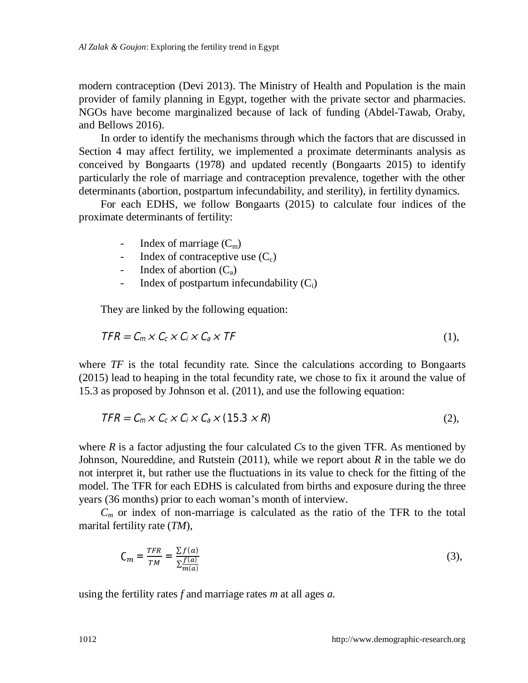modern contraception (Devi 2013). The Ministry of Health and Population is the main provider of family planning in Egypt, together with the private sector and pharmacies. NGOs have become marginalized because of lack of funding (Abdel-Tawab, Oraby, and Bellows 2016).

In order to identify the mechanisms through which the factors that are discussed in Section 4 may affect fertility, we implemented a proximate determinants analysis as conceived by Bongaarts (1978) and updated recently (Bongaarts 2015) to identify particularly the role of marriage and contraception prevalence, together with the other determinants (abortion, postpartum infecundability, and sterility), in fertility dynamics.

For each EDHS, we follow Bongaarts (2015) to calculate four indices of the proximate determinants of fertility:

- Index of marriage  $(C_m)$
- Index of contraceptive use  $(C_c)$
- Index of abortion  $(C_a)$
- Index of postpartum infecundability  $(C_i)$

They are linked by the following equation:

$$
\mathbf{TFR} = \mathbf{C}_m \times \mathbf{C}_c \times \mathbf{C}_i \times \mathbf{C}_a \times \mathbf{T} \mathbf{F}
$$
 (1),

where  $TF$  is the total fecundity rate. Since the calculations according to Bongaarts (2015) lead to heaping in the total fecundity rate, we chose to fix it around the value of 15.3 as proposed by Johnson et al. (2011), and use the following equation:

$$
TFR = C_m \times C_c \times C_i \times C_a \times (15.3 \times R)
$$
 (2),

where *R* is a factor adjusting the four calculated *C*s to the given TFR. As mentioned by Johnson, Noureddine, and Rutstein (2011), while we report about *R* in the table we do not interpret it, but rather use the fluctuations in its value to check for the fitting of the model. The TFR for each EDHS is calculated from births and exposure during the three years (36 months) prior to each woman's month of interview.

 $C<sub>m</sub>$  or index of non-marriage is calculated as the ratio of the TFR to the total marital fertility rate (*TM*),

$$
C_m = \frac{TFR}{TM} = \frac{\sum f(\mathbf{a})}{\sum_{m(\mathbf{a})}^{f(\mathbf{a})}}
$$
(3),

using the fertility rates *f* and marriage rates *m* at all ages *a*.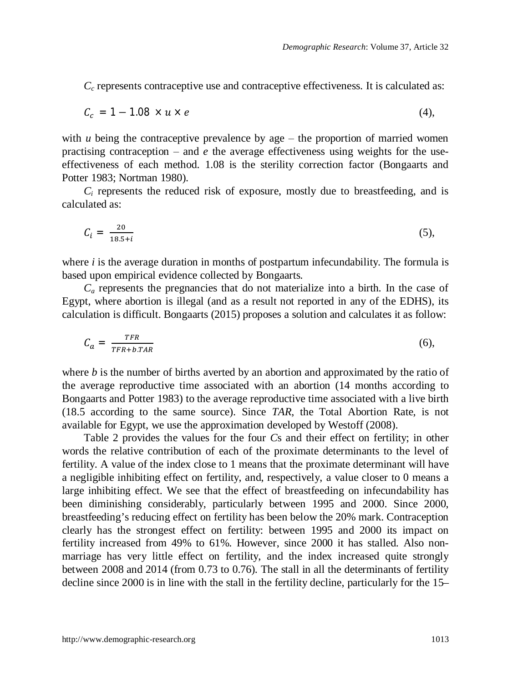$C_c$  represents contraceptive use and contraceptive effectiveness. It is calculated as:

$$
C_c = \mathbf{1} - \mathbf{1.08} \times u \times e \tag{4},
$$

with *u* being the contraceptive prevalence by age  $-$  the proportion of married women practising contraception  $-$  and  $e$  the average effectiveness using weights for the useeffectiveness of each method. 1.08 is the sterility correction factor (Bongaarts and Potter 1983; Nortman 1980).

 $C_i$  represents the reduced risk of exposure, mostly due to breastfeeding, and is calculated as:

$$
C_i = \frac{20}{18.5 + i} \tag{5}
$$

where  $i$  is the average duration in months of postpartum infecundability. The formula is based upon empirical evidence collected by Bongaarts.

 $C_a$  represents the pregnancies that do not materialize into a birth. In the case of Egypt, where abortion is illegal (and as a result not reported in any of the EDHS), its calculation is difficult. Bongaarts (2015) proposes a solution and calculates it as follow:

$$
C_a = \frac{TFR}{TFR + b.TAR} \tag{6}
$$

where *b* is the number of births averted by an abortion and approximated by the ratio of the average reproductive time associated with an abortion (14 months according to Bongaarts and Potter 1983) to the average reproductive time associated with a live birth (18.5 according to the same source). Since *TAR*, the Total Abortion Rate, is not available for Egypt, we use the approximation developed by Westoff (2008).

Table 2 provides the values for the four *C*s and their effect on fertility; in other words the relative contribution of each of the proximate determinants to the level of fertility. A value of the index close to 1 means that the proximate determinant will have a negligible inhibiting effect on fertility, and, respectively, a value closer to 0 means a large inhibiting effect. We see that the effect of breastfeeding on infecundability has been diminishing considerably, particularly between 1995 and 2000. Since 2000, breastfeeding's reducing effect on fertility has been below the 20% mark. Contraception clearly has the strongest effect on fertility: between 1995 and 2000 its impact on fertility increased from 49% to 61%. However, since 2000 it has stalled. Also nonmarriage has very little effect on fertility, and the index increased quite strongly between 2008 and 2014 (from 0.73 to 0.76). The stall in all the determinants of fertility decline since 2000 is in line with the stall in the fertility decline, particularly for the 15–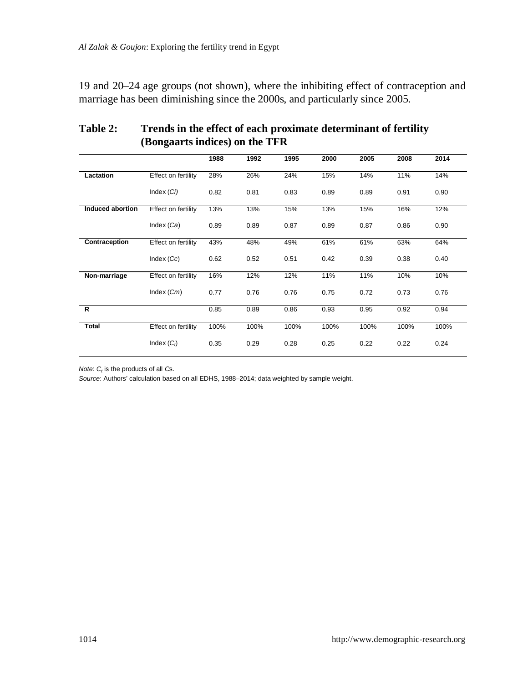19 and 20–24 age groups (not shown), where the inhibiting effect of contraception and marriage has been diminishing since the 2000s, and particularly since 2005.

|                  |                     | 1988 | 1992 | 1995 | 2000 | 2005 | 2008 | 2014 |
|------------------|---------------------|------|------|------|------|------|------|------|
|                  |                     |      |      |      |      |      |      |      |
| Lactation        | Effect on fertility | 28%  | 26%  | 24%  | 15%  | 14%  | 11%  | 14%  |
|                  | Index (Ci)          | 0.82 | 0.81 | 0.83 | 0.89 | 0.89 | 0.91 | 0.90 |
| Induced abortion | Effect on fertility | 13%  | 13%  | 15%  | 13%  | 15%  | 16%  | 12%  |
|                  | Index $(Ca)$        | 0.89 | 0.89 | 0.87 | 0.89 | 0.87 | 0.86 | 0.90 |
| Contraception    | Effect on fertility | 43%  | 48%  | 49%  | 61%  | 61%  | 63%  | 64%  |
|                  | Index (Cc)          | 0.62 | 0.52 | 0.51 | 0.42 | 0.39 | 0.38 | 0.40 |
| Non-marriage     | Effect on fertility | 16%  | 12%  | 12%  | 11%  | 11%  | 10%  | 10%  |
|                  | Index $(Cm)$        | 0.77 | 0.76 | 0.76 | 0.75 | 0.72 | 0.73 | 0.76 |
| R                |                     | 0.85 | 0.89 | 0.86 | 0.93 | 0.95 | 0.92 | 0.94 |
| <b>Total</b>     | Effect on fertility | 100% | 100% | 100% | 100% | 100% | 100% | 100% |
|                  | Index $(C_i)$       | 0.35 | 0.29 | 0.28 | 0.25 | 0.22 | 0.22 | 0.24 |

### **Table 2: Trends in the effect of each proximate determinant of fertility (Bongaarts indices) on the TFR**

*Note*: *Ct* is the products of all *C*s.

*Source*: Authors' calculation based on all EDHS, 1988–2014; data weighted by sample weight.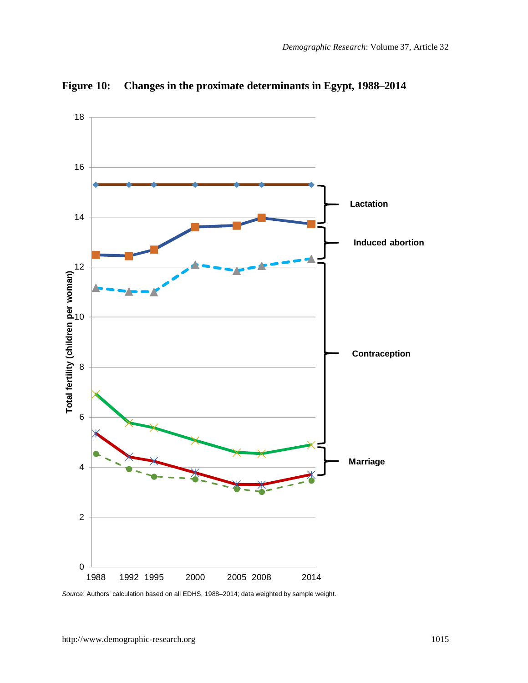

**Figure 10: Changes in the proximate determinants in Egypt, 1988‒2014**

*Source*: Authors' calculation based on all EDHS, 1988–2014; data weighted by sample weight.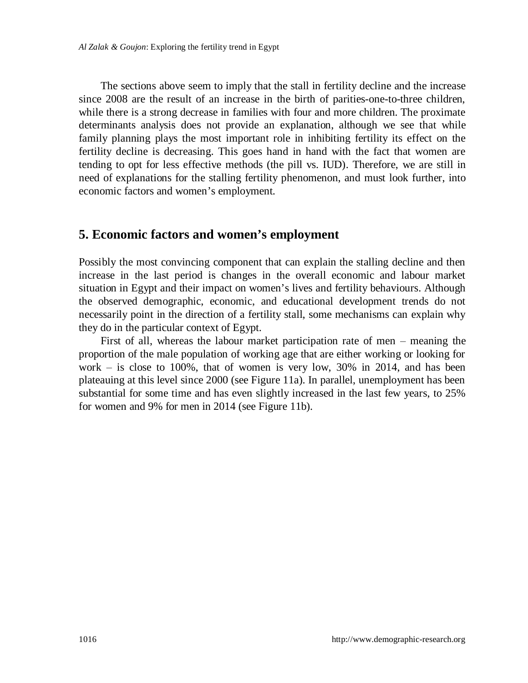The sections above seem to imply that the stall in fertility decline and the increase since 2008 are the result of an increase in the birth of parities-one-to-three children, while there is a strong decrease in families with four and more children. The proximate determinants analysis does not provide an explanation, although we see that while family planning plays the most important role in inhibiting fertility its effect on the fertility decline is decreasing. This goes hand in hand with the fact that women are tending to opt for less effective methods (the pill vs. IUD). Therefore, we are still in need of explanations for the stalling fertility phenomenon, and must look further, into economic factors and women's employment.

### **5. Economic factors and women's employment**

Possibly the most convincing component that can explain the stalling decline and then increase in the last period is changes in the overall economic and labour market situation in Egypt and their impact on women's lives and fertility behaviours. Although the observed demographic, economic, and educational development trends do not necessarily point in the direction of a fertility stall, some mechanisms can explain why they do in the particular context of Egypt.

First of all, whereas the labour market participation rate of men – meaning the proportion of the male population of working age that are either working or looking for work  $-$  is close to 100%, that of women is very low, 30% in 2014, and has been plateauing at this level since 2000 (see Figure 11a). In parallel, unemployment has been substantial for some time and has even slightly increased in the last few years, to 25% for women and 9% for men in 2014 (see Figure 11b).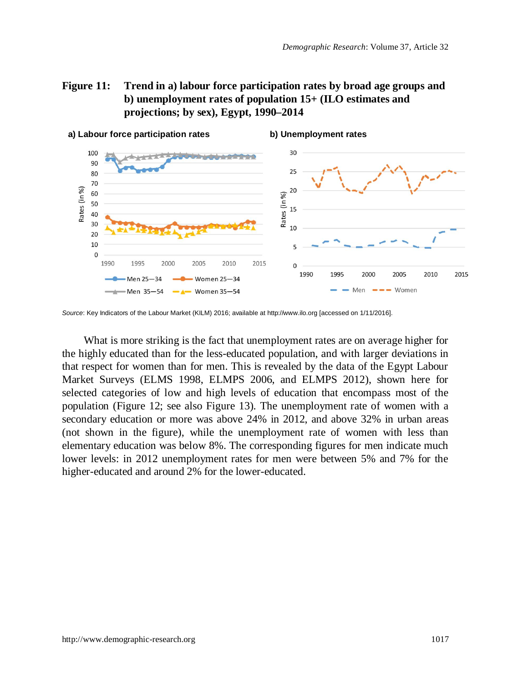### **Figure 11: Trend in a) labour force participation rates by broad age groups and b) unemployment rates of population 15+ (ILO estimates and projections; by sex), Egypt, 1990–2014**



*Source*: Key Indicators of the Labour Market (KILM) 2016; available at [http://www.ilo.org](http://www.ilo.org/) [accessed on 1/11/2016].

What is more striking is the fact that unemployment rates are on average higher for the highly educated than for the less-educated population, and with larger deviations in that respect for women than for men. This is revealed by the data of the Egypt Labour Market Surveys (ELMS 1998, ELMPS 2006, and ELMPS 2012), shown here for selected categories of low and high levels of education that encompass most of the population (Figure 12; see also Figure 13). The unemployment rate of women with a secondary education or more was above 24% in 2012, and above 32% in urban areas (not shown in the figure), while the unemployment rate of women with less than elementary education was below 8%. The corresponding figures for men indicate much lower levels: in 2012 unemployment rates for men were between 5% and 7% for the higher-educated and around 2% for the lower-educated.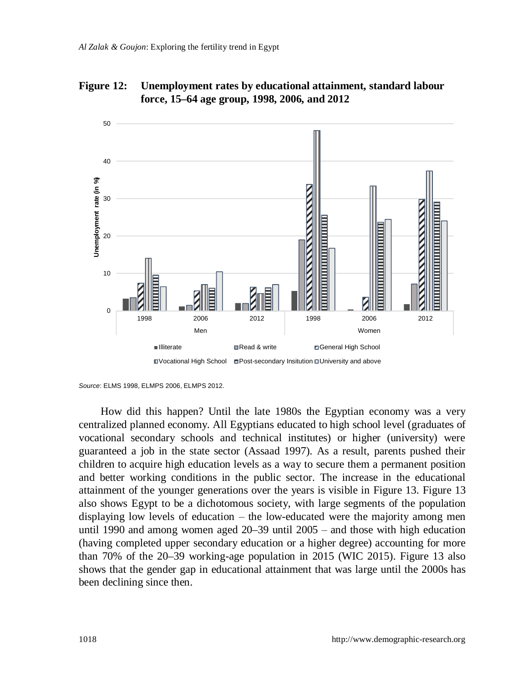

**Figure 12: Unemployment rates by educational attainment, standard labour force, 15–64 age group, 1998, 2006, and 2012**

How did this happen? Until the late 1980s the Egyptian economy was a very centralized planned economy. All Egyptians educated to high school level (graduates of vocational secondary schools and technical institutes) or higher (university) were guaranteed a job in the state sector (Assaad 1997). As a result, parents pushed their children to acquire high education levels as a way to secure them a permanent position and better working conditions in the public sector. The increase in the educational attainment of the younger generations over the years is visible in Figure 13. Figure 13 also shows Egypt to be a dichotomous society, with large segments of the population displaying low levels of education  $-$  the low-educated were the majority among men until 1990 and among women aged  $20-39$  until  $2005 -$  and those with high education (having completed upper secondary education or a higher degree) accounting for more than 70% of the 20–39 working-age population in 2015 (WIC 2015). Figure 13 also shows that the gender gap in educational attainment that was large until the 2000s has been declining since then.

*Source*: ELMS 1998, ELMPS 2006, ELMPS 2012.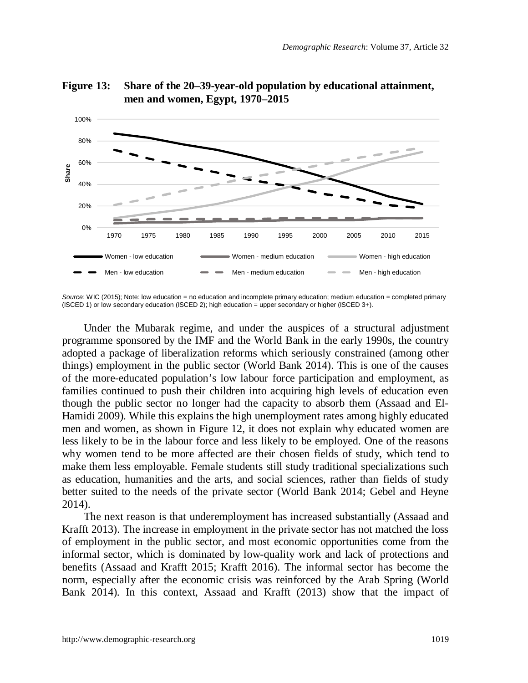

**Figure 13: Share of the 20–39-year-old population by educational attainment, men and women, Egypt, 1970–2015**

Under the Mubarak regime, and under the auspices of a structural adjustment programme sponsored by the IMF and the World Bank in the early 1990s, the country adopted a package of liberalization reforms which seriously constrained (among other things) employment in the public sector (World Bank 2014). This is one of the causes of the more-educated population's low labour force participation and employment, as families continued to push their children into acquiring high levels of education even though the public sector no longer had the capacity to absorb them (Assaad and El-Hamidi 2009). While this explains the high unemployment rates among highly educated men and women, as shown in Figure 12, it does not explain why educated women are less likely to be in the labour force and less likely to be employed. One of the reasons why women tend to be more affected are their chosen fields of study, which tend to make them less employable. Female students still study traditional specializations such as education, humanities and the arts, and social sciences, rather than fields of study better suited to the needs of the private sector (World Bank 2014; Gebel and Heyne 2014).

The next reason is that underemployment has increased substantially (Assaad and Krafft 2013). The increase in employment in the private sector has not matched the loss of employment in the public sector, and most economic opportunities come from the informal sector, which is dominated by low-quality work and lack of protections and benefits (Assaad and Krafft 2015; Krafft 2016). The informal sector has become the norm, especially after the economic crisis was reinforced by the Arab Spring (World Bank 2014). In this context, Assaad and Krafft (2013) show that the impact of

*Source*: WIC (2015); Note: low education = no education and incomplete primary education; medium education = completed primary (ISCED 1) or low secondary education (ISCED 2); high education = upper secondary or higher (ISCED 3+).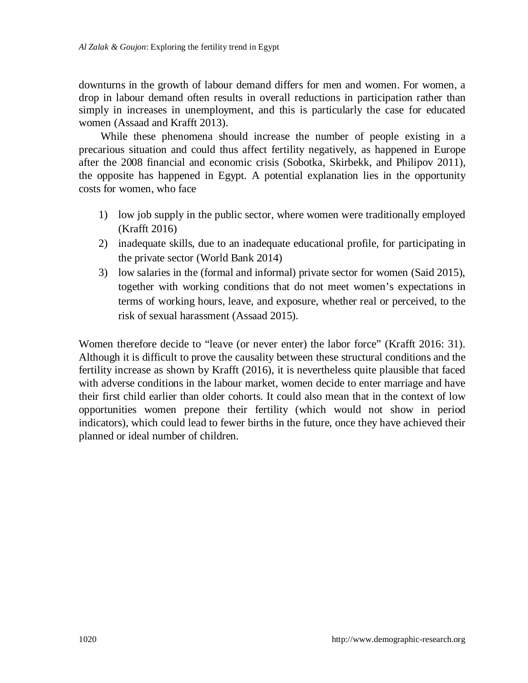downturns in the growth of labour demand differs for men and women. For women, a drop in labour demand often results in overall reductions in participation rather than simply in increases in unemployment, and this is particularly the case for educated women (Assaad and Krafft 2013).

While these phenomena should increase the number of people existing in a precarious situation and could thus affect fertility negatively, as happened in Europe after the 2008 financial and economic crisis (Sobotka, Skirbekk, and Philipov 2011), the opposite has happened in Egypt. A potential explanation lies in the opportunity costs for women, who face

- 1) low job supply in the public sector, where women were traditionally employed (Krafft 2016)
- 2) inadequate skills, due to an inadequate educational profile, for participating in the private sector (World Bank 2014)
- 3) low salaries in the (formal and informal) private sector for women (Said 2015), together with working conditions that do not meet women's expectations in terms of working hours, leave, and exposure, whether real or perceived, to the risk of sexual harassment (Assaad 2015).

Women therefore decide to "leave (or never enter) the labor force" (Krafft 2016: 31). Although it is difficult to prove the causality between these structural conditions and the fertility increase as shown by Krafft (2016), it is nevertheless quite plausible that faced with adverse conditions in the labour market, women decide to enter marriage and have their first child earlier than older cohorts. It could also mean that in the context of low opportunities women prepone their fertility (which would not show in period indicators), which could lead to fewer births in the future, once they have achieved their planned or ideal number of children.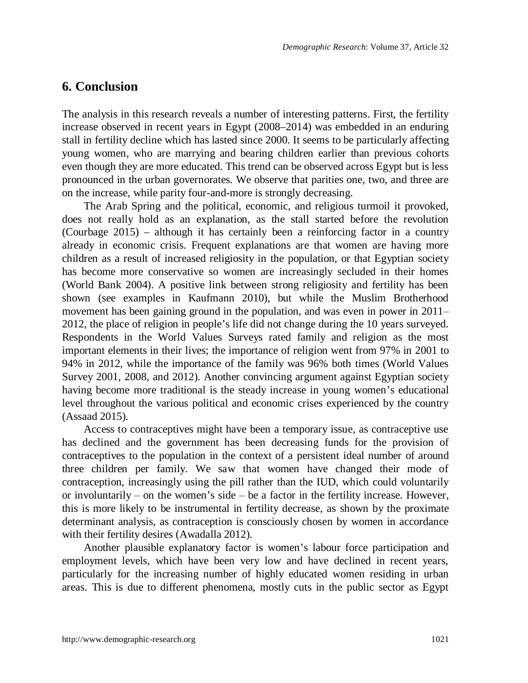### **6. Conclusion**

The analysis in this research reveals a number of interesting patterns. First, the fertility increase observed in recent years in Egypt (2008–2014) was embedded in an enduring stall in fertility decline which has lasted since 2000. It seems to be particularly affecting young women, who are marrying and bearing children earlier than previous cohorts even though they are more educated. This trend can be observed across Egypt but is less pronounced in the urban governorates. We observe that parities one, two, and three are on the increase, while parity four-and-more is strongly decreasing.

The Arab Spring and the political, economic, and religious turmoil it provoked, does not really hold as an explanation, as the stall started before the revolution (Courbage 2015) – although it has certainly been a reinforcing factor in a country already in economic crisis. Frequent explanations are that women are having more children as a result of increased religiosity in the population, or that Egyptian society has become more conservative so women are increasingly secluded in their homes (World Bank 2004). A positive link between strong religiosity and fertility has been shown (see examples in Kaufmann 2010), but while the Muslim Brotherhood movement has been gaining ground in the population, and was even in power in 2011– 2012, the place of religion in people's life did not change during the 10 years surveyed. Respondents in the World Values Surveys rated family and religion as the most important elements in their lives; the importance of religion went from 97% in 2001 to 94% in 2012, while the importance of the family was 96% both times (World Values Survey 2001, 2008, and 2012). Another convincing argument against Egyptian society having become more traditional is the steady increase in young women's educational level throughout the various political and economic crises experienced by the country (Assaad 2015).

Access to contraceptives might have been a temporary issue, as contraceptive use has declined and the government has been decreasing funds for the provision of contraceptives to the population in the context of a persistent ideal number of around three children per family. We saw that women have changed their mode of contraception, increasingly using the pill rather than the IUD, which could voluntarily or involuntarily  $-$  on the women's side  $-$  be a factor in the fertility increase. However, this is more likely to be instrumental in fertility decrease, as shown by the proximate determinant analysis, as contraception is consciously chosen by women in accordance with their fertility desires (Awadalla 2012).

Another plausible explanatory factor is women's labour force participation and employment levels, which have been very low and have declined in recent years, particularly for the increasing number of highly educated women residing in urban areas. This is due to different phenomena, mostly cuts in the public sector as Egypt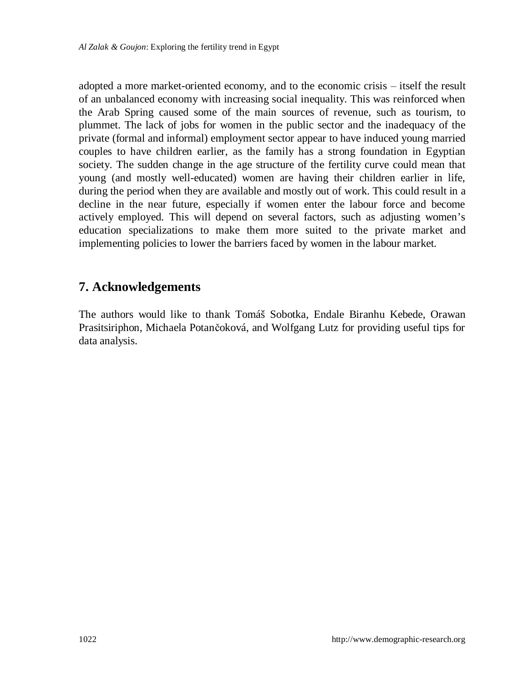adopted a more market-oriented economy, and to the economic crisis – itself the result of an unbalanced economy with increasing social inequality. This was reinforced when the Arab Spring caused some of the main sources of revenue, such as tourism, to plummet. The lack of jobs for women in the public sector and the inadequacy of the private (formal and informal) employment sector appear to have induced young married couples to have children earlier, as the family has a strong foundation in Egyptian society. The sudden change in the age structure of the fertility curve could mean that young (and mostly well-educated) women are having their children earlier in life, during the period when they are available and mostly out of work. This could result in a decline in the near future, especially if women enter the labour force and become actively employed. This will depend on several factors, such as adjusting women's education specializations to make them more suited to the private market and implementing policies to lower the barriers faced by women in the labour market.

## **7. Acknowledgements**

The authors would like to thank Tomáš Sobotka, Endale Biranhu Kebede, Orawan Prasitsiriphon, Michaela Potančoková, and Wolfgang Lutz for providing useful tips for data analysis.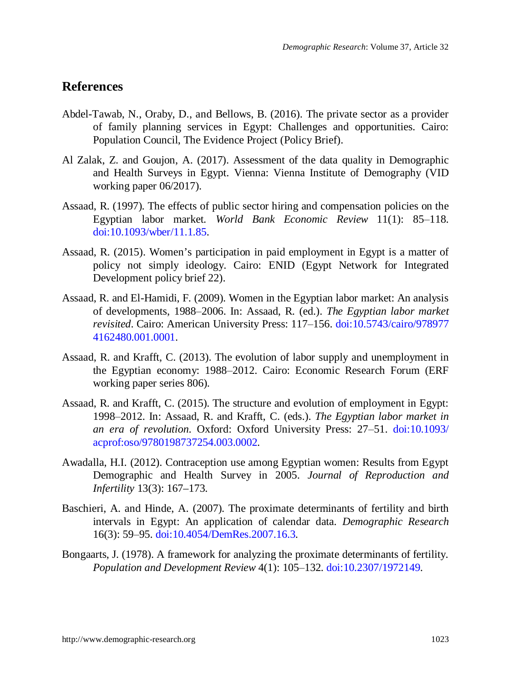### **References**

- Abdel-Tawab, N., Oraby, D., and Bellows, B. (2016). The private sector as a provider of family planning services in Egypt: Challenges and opportunities. Cairo: Population Council, The Evidence Project (Policy Brief).
- Al Zalak, Z. and Goujon, A. (2017). Assessment of the data quality in Demographic and Health Surveys in Egypt. Vienna: Vienna Institute of Demography (VID working paper 06/2017).
- Assaad, R. (1997). The effects of public sector hiring and compensation policies on the Egyptian labor market. *World Bank Economic Review* 11(1): 85-118. [doi:10.1093/wber/11.1.85.](https://doi.org/10.1093/wber/11.1.85)
- Assaad, R. (2015). Women's participation in paid employment in Egypt is a matter of policy not simply ideology. Cairo: ENID (Egypt Network for Integrated Development policy brief 22).
- Assaad, R. and El-Hamidi, F. (2009). Women in the Egyptian labor market: An analysis of developments, 1988‒2006. In: Assaad, R. (ed.). *The Egyptian labor market revisited*. Cairo: American University Press: 117-156. [doi:10.5743/cairo/978977](https://doi.org/10.5743/cairo/9789774162480.001.0001) [4162480.001.0001.](https://doi.org/10.5743/cairo/9789774162480.001.0001)
- Assaad, R. and Krafft, C. (2013). The evolution of labor supply and unemployment in the Egyptian economy: 1988‒2012. Cairo: Economic Research Forum (ERF working paper series 806).
- Assaad, R. and Krafft, C. (2015). The structure and evolution of employment in Egypt: 1998‒2012. In: Assaad, R. and Krafft, C. (eds.). *The Egyptian labor market in an era of revolution*. Oxford: Oxford University Press: 27‒51. [doi:10.1093/](https://doi.org/10.1093/acprof:oso/9780198737254.003.0002) [acprof:oso/9780198737254.003.0002.](https://doi.org/10.1093/acprof:oso/9780198737254.003.0002)
- Awadalla, H.I. (2012). Contraception use among Egyptian women: Results from Egypt Demographic and Health Survey in 2005. *Journal of Reproduction and Infertility* 13(3): 167–173.
- Baschieri, A. and Hinde, A. (2007). The proximate determinants of fertility and birth intervals in Egypt: An application of calendar data. *Demographic Research* 16(3): 59‒95. [doi:10.4054/DemRes.2007.16.3.](https://doi.org/10.4054/DemRes.2007.16.3)
- Bongaarts, J. (1978). A framework for analyzing the proximate determinants of fertility. *Population and Development Review* 4(1): 105‒132. [doi:10.2307/1972149.](https://doi.org/10.2307/1972149)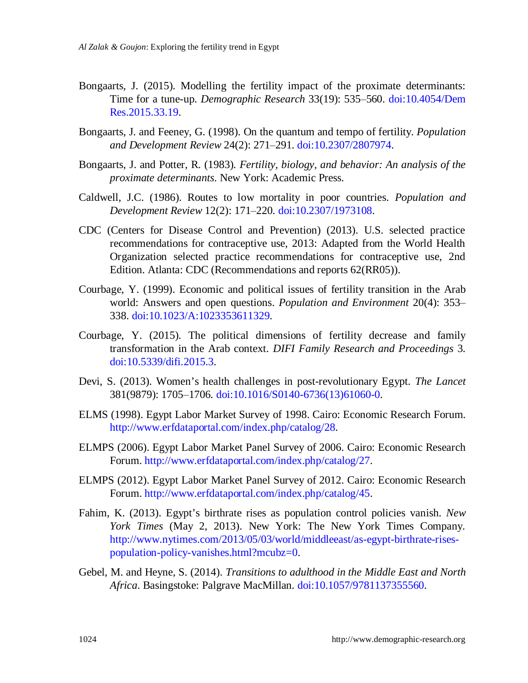- Bongaarts, J. (2015). Modelling the fertility impact of the proximate determinants: Time for a tune-up. *Demographic Research* 33(19): 535‒560. [doi:10.4054/Dem](https://doi.org/10.4054/DemRes.2015.33.19) [Res.2015.33.19.](https://doi.org/10.4054/DemRes.2015.33.19)
- Bongaarts, J. and Feeney, G. (1998). On the quantum and tempo of fertility. *Population and Development Review* 24(2): 271‒291. [doi:10.2307/2807974.](https://doi.org/10.2307/2807974)
- Bongaarts, J. and Potter, R. (1983). *Fertility, biology, and behavior: An analysis of the proximate determinants*. New York: Academic Press.
- Caldwell, J.C. (1986). Routes to low mortality in poor countries. *Population and Development Review* 12(2): 171‒220. [doi:10.2307/1973108.](https://doi.org/10.2307/1973108)
- CDC (Centers for Disease Control and Prevention) (2013). U.S. selected practice recommendations for contraceptive use, 2013: Adapted from the World Health Organization selected practice recommendations for contraceptive use, 2nd Edition. Atlanta: CDC (Recommendations and reports 62(RR05)).
- Courbage, Y. (1999). Economic and political issues of fertility transition in the Arab world: Answers and open questions. *Population and Environment* 20(4): 353– 338. [doi:10.1023/A:1023353611329.](https://doi.org/10.1023/A:1023353611329)
- Courbage, Y. (2015). The political dimensions of fertility decrease and family transformation in the Arab context. *DIFI Family Research and Proceedings* 3. [doi:10.5339/difi.2015.3.](https://doi.org/10.5339/difi.2015.3)
- Devi, S. (2013). Women's health challenges in post-revolutionary Egypt. *The Lancet* 381(9879): 1705‒1706. [doi:10.1016/S0140-6736\(13\)61060-0.](https://doi.org/10.1016/S0140-6736(13)61060-0)
- ELMS (1998). Egypt Labor Market Survey of 1998. Cairo: Economic Research Forum. [http://www.erfdataportal.com/index.php/catalog/28.](http://www.erfdataportal.com/index.php/catalog/28)
- ELMPS (2006). Egypt Labor Market Panel Survey of 2006. Cairo: Economic Research Forum. [http://www.erfdataportal.com/index.php/catalog/27.](http://www.erfdataportal.com/index.php/catalog/27)
- ELMPS (2012). Egypt Labor Market Panel Survey of 2012. Cairo: Economic Research Forum. [http://www.erfdataportal.com/index.php/catalog/45.](http://www.erfdataportal.com/index.php/catalog/45)
- Fahim, K. (2013). Egypt's birthrate rises as population control policies vanish. *New York Times* (May 2, 2013). New York: The New York Times Company. [http://www.nytimes.com/2013/05/03/world/middleeast/as-egypt-birthrate-rises](http://www.nytimes.com/2013/05/03/world/middleeast/as-egypt-birthrate-rises-population-policy-vanishes.html?mcubz=0)[population-policy-vanishes.html?mcubz=0.](http://www.nytimes.com/2013/05/03/world/middleeast/as-egypt-birthrate-rises-population-policy-vanishes.html?mcubz=0)
- Gebel, M. and Heyne, S. (2014). *Transitions to adulthood in the Middle East and North Africa*. Basingstoke: Palgrave MacMillan. [doi:10.1057/9781137355560.](https://doi.org/10.1057/9781137355560)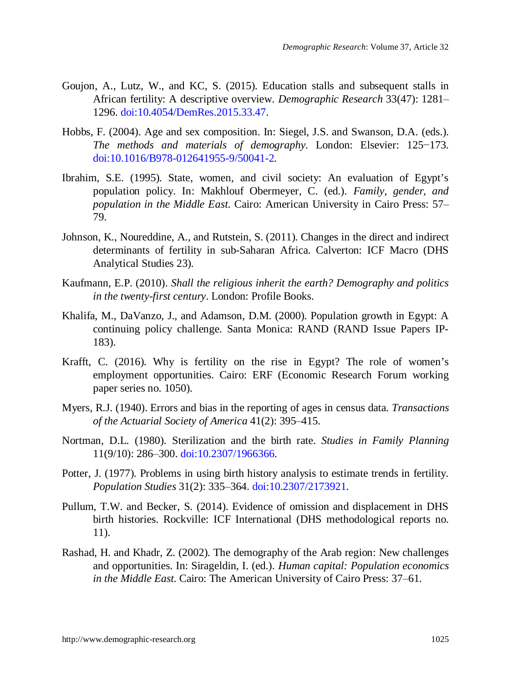- [Goujon, A.](http://pure.iiasa.ac.at/view/iiasa/110.html), [Lutz, W.](http://pure.iiasa.ac.at/view/iiasa/190.html), and [KC, S.](http://pure.iiasa.ac.at/view/iiasa/140.html) (2015). [Education stalls and subsequent stalls in](http://pure.iiasa.ac.at/11304/) [African fertility: A descriptive overview.](http://pure.iiasa.ac.at/11304/) *Demographic Research* 33(47): 1281‒ 1296. [doi:10.4054/DemRes.2015.33.47.](https://doi.org/10.4054/DemRes.2015.33.47)
- Hobbs, F. (2004). Age and sex composition. In: Siegel, J.S. and Swanson, D.A. (eds.). *The methods and materials of demography*. London: Elsevier: 125−173. [doi:10.1016/B978-012641955-9/50041-2.](https://doi.org/10.1016/B978-012641955-9/50041-2)
- Ibrahim, S.E. (1995). State, women, and civil society: An evaluation of Egypt's population policy. In: Makhlouf Obermeyer, C. (ed.). *Family, gender, and population in the Middle East*. Cairo: American University in Cairo Press: 57‒ 79.
- Johnson, K., Noureddine, A., and Rutstein, S. (2011). Changes in the direct and indirect determinants of fertility in sub-Saharan Africa. Calverton: ICF Macro (DHS Analytical Studies 23).
- Kaufmann, E.P. (2010). *Shall the religious inherit the earth? Demography and politics in the twenty-first century*. London: Profile Books.
- Khalifa, M., DaVanzo, J., and Adamson, D.M. (2000). Population growth in Egypt: A continuing policy challenge. Santa Monica: RAND (RAND Issue Papers IP-183).
- Krafft, C. (2016). Why is fertility on the rise in Egypt? The role of women's employment opportunities. Cairo: ERF (Economic Research Forum working paper series no. 1050).
- Myers, R.J. (1940). Errors and bias in the reporting of ages in census data. *Transactions of the Actuarial Society of America* 41(2): 395‒415.
- Nortman, D.L. (1980). Sterilization and the birth rate. *Studies in Family Planning* 11(9/10): 286‒300. [doi:10.2307/1966366.](https://doi.org/10.2307/1966366)
- Potter, J. (1977). Problems in using birth history analysis to estimate trends in fertility. *Population Studies* 31(2): 335‒364. [doi:10.2307/2173921.](https://doi.org/10.2307/2173921)
- Pullum, T.W. and Becker, S. (2014). Evidence of omission and displacement in DHS birth histories. Rockville: ICF International (DHS methodological reports no. 11).
- Rashad, H. and Khadr, Z. (2002). The demography of the Arab region: New challenges and opportunities. In: Sirageldin, I. (ed.). *Human capital: Population economics in the Middle East*. Cairo: The American University of Cairo Press: 37‒61.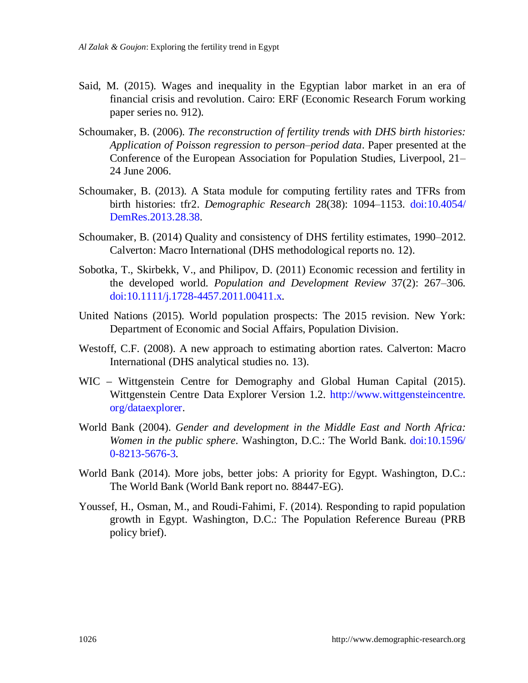- Said, M. (2015). Wages and inequality in the Egyptian labor market in an era of financial crisis and revolution. Cairo: ERF (Economic Research Forum working paper series no. 912).
- Schoumaker, B. (2006). *The reconstruction of fertility trends with DHS birth histories: Application of Poisson regression to person‒period data*. Paper presented at the Conference of the European Association for Population Studies, Liverpool, 21– 24 June 2006.
- Schoumaker, B. (2013). A Stata module for computing fertility rates and TFRs from birth histories: tfr2. *Demographic Research* 28(38): 1094‒1153. doi[:10.4054/](https://dx.doi.org/10.4054/DemRes.2013.28.38) [DemRes.2013.28.38.](https://dx.doi.org/10.4054/DemRes.2013.28.38)
- Schoumaker, B. (2014) Quality and consistency of DHS fertility estimates, 1990–2012. Calverton: Macro International (DHS methodological reports no. 12).
- Sobotka, T., Skirbekk, V., and Philipov, D. (2011) Economic recession and fertility in the developed world. *Population and Development Review* 37(2): 267‒306. [doi:10.1111/j.1728-4457.2011.00411.x.](https://doi.org/10.1111/j.1728-4457.2011.00411.x)
- United Nations (2015). World population prospects: The 2015 revision. New York: Department of Economic and Social Affairs, Population Division.
- Westoff, C.F. (2008). A new approach to estimating abortion rates. Calverton: Macro International (DHS analytical studies no. 13).
- WIC Wittgenstein Centre for Demography and Global Human Capital (2015). Wittgenstein Centre Data Explorer Version 1.2. [http://www.wittgensteincentre.](http://www.wittgensteincentre.org/dataexplorer) [org/dataexplorer.](http://www.wittgensteincentre.org/dataexplorer)
- World Bank (2004). *Gender and development in the Middle East and North Africa: Women in the public sphere*. Washington, D.C.: The World Bank. [doi:10.1596/](https://doi.org/10.1596/0-8213-5676-3) [0-8213-5676-3.](https://doi.org/10.1596/0-8213-5676-3)
- World Bank (2014). More jobs, better jobs: A priority for Egypt. Washington, D.C.: The World Bank (World Bank report no. 88447-EG).
- Youssef, H., Osman, M., and Roudi-Fahimi, F. (2014). Responding to rapid population growth in Egypt. Washington, D.C.: The Population Reference Bureau (PRB policy brief).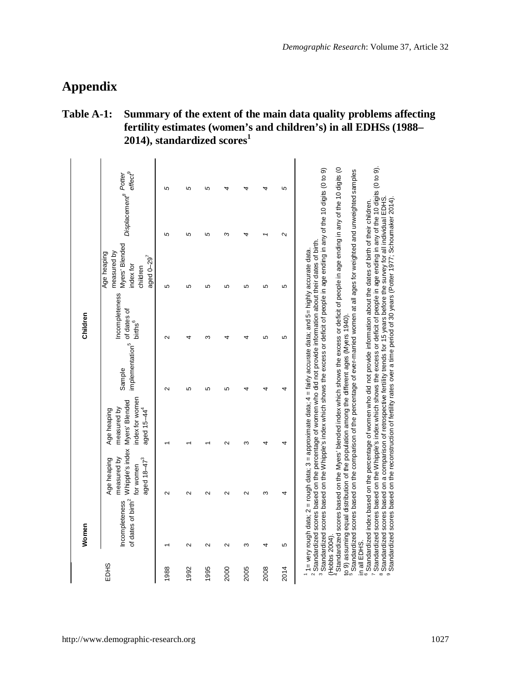# **Appendix**

### **Table A-1: Summary of the extent of the main data quality problems affecting fertility estimates (women's and children's) in all EDHSs (1988– 2014), standardized scores<sup>1</sup>**

|                              | Women                                           |                                                                                       |                                                                                                                                                                                                                                                                                                                                                                                                                                                                                                                                                                                                                                                                                                                                                                                                                                                                                                                                                                                                                                                                                                                                                                                                                                                                                                                                       |                                                   | Children                              |                                                                                                   |                                  |                     |
|------------------------------|-------------------------------------------------|---------------------------------------------------------------------------------------|---------------------------------------------------------------------------------------------------------------------------------------------------------------------------------------------------------------------------------------------------------------------------------------------------------------------------------------------------------------------------------------------------------------------------------------------------------------------------------------------------------------------------------------------------------------------------------------------------------------------------------------------------------------------------------------------------------------------------------------------------------------------------------------------------------------------------------------------------------------------------------------------------------------------------------------------------------------------------------------------------------------------------------------------------------------------------------------------------------------------------------------------------------------------------------------------------------------------------------------------------------------------------------------------------------------------------------------|---------------------------------------------------|---------------------------------------|---------------------------------------------------------------------------------------------------|----------------------------------|---------------------|
| <b>EDHS</b>                  | of dates of birth <sup>2</sup><br>ncompleteness | Whipple's index<br>measured by<br>aged 18-47 <sup>3</sup><br>Age heaping<br>for women | index for women<br>Myers' Blended<br>measured by<br>Age heaping<br>aged $15-44^4$                                                                                                                                                                                                                                                                                                                                                                                                                                                                                                                                                                                                                                                                                                                                                                                                                                                                                                                                                                                                                                                                                                                                                                                                                                                     | implementation <sup>5</sup> of dates of<br>Sample | Incompleteness<br>births <sup>6</sup> | Myers' Blended<br>measured by<br>Age heaping<br>aged $0-29$ <sup>7</sup><br>index for<br>children | Displacement <sup>8</sup> Potter | effect <sup>9</sup> |
| 1988                         |                                                 | $\sim$                                                                                |                                                                                                                                                                                                                                                                                                                                                                                                                                                                                                                                                                                                                                                                                                                                                                                                                                                                                                                                                                                                                                                                                                                                                                                                                                                                                                                                       | $\sim$                                            | $\sim$                                | 5                                                                                                 | 5                                | 5                   |
| 1992                         | $\mathbf{\Omega}$                               |                                                                                       |                                                                                                                                                                                                                                                                                                                                                                                                                                                                                                                                                                                                                                                                                                                                                                                                                                                                                                                                                                                                                                                                                                                                                                                                                                                                                                                                       | 5                                                 |                                       | LО                                                                                                | 5                                | 5                   |
| 1995                         | $\sim$                                          |                                                                                       |                                                                                                                                                                                                                                                                                                                                                                                                                                                                                                                                                                                                                                                                                                                                                                                                                                                                                                                                                                                                                                                                                                                                                                                                                                                                                                                                       | 5                                                 | $\sim$                                | LC <sub>1</sub>                                                                                   | 5                                | 5                   |
| 2000                         | $\mathbf{\Omega}$                               |                                                                                       | $\sim$                                                                                                                                                                                                                                                                                                                                                                                                                                                                                                                                                                                                                                                                                                                                                                                                                                                                                                                                                                                                                                                                                                                                                                                                                                                                                                                                | 5                                                 |                                       | <u>မာ</u>                                                                                         | m                                |                     |
| 2005                         | ო                                               |                                                                                       | ო                                                                                                                                                                                                                                                                                                                                                                                                                                                                                                                                                                                                                                                                                                                                                                                                                                                                                                                                                                                                                                                                                                                                                                                                                                                                                                                                     |                                                   |                                       | Ю                                                                                                 |                                  |                     |
| 2008                         | ÷                                               | ო                                                                                     |                                                                                                                                                                                                                                                                                                                                                                                                                                                                                                                                                                                                                                                                                                                                                                                                                                                                                                                                                                                                                                                                                                                                                                                                                                                                                                                                       |                                                   | 5                                     | 5                                                                                                 |                                  |                     |
| 2014                         | 5                                               | 4                                                                                     | 4                                                                                                                                                                                                                                                                                                                                                                                                                                                                                                                                                                                                                                                                                                                                                                                                                                                                                                                                                                                                                                                                                                                                                                                                                                                                                                                                     | 4                                                 | 5                                     | 5                                                                                                 | $\sim$                           | 5                   |
| Hobbs 2004).<br>in all EDHS. |                                                 |                                                                                       | Standardized scores based on the Whipple's index which shows the excess or deficit of people in age ending in any of the 10 digits (0 to 9).<br>Standardized scores based on the Myers' blended index which shows the excess or deficit of people in age ending in any of the 10 digits (0<br>Standardized scores based on the Whipple's index which shows the excess or deficit of people in age ending in any of the 10 digits (0 to 9)<br>Standardized scores based on the compatison of the percentage of ever-married women at all ages for weighted and unweighted samples<br>Standardized scores based on a comparison of retrospective fertility trends for 15 years before the survey for all individual EDHS.<br>Standardized scores based on the reconstruction of fertility rates over a time period of 30 years (Potter 1977; Schoumaker 2014)<br>Standardized index based on the percentage of women who did not provide information about the dates of birth of their children.<br>. Standardized scores based on the percentage of women who did not provide information about their dates of birth.<br>1= very rough data; 2 = rough data; 3 = approximate data; 4 = fairly accurate data; and 5= highly accurate data.<br>to 9) assuming equal distribution of the population among the different ages (Myers 1940) |                                                   |                                       |                                                                                                   |                                  |                     |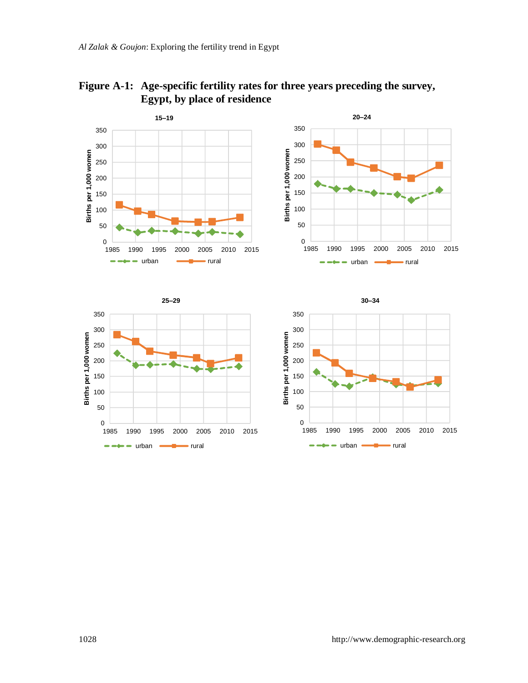

**Figure A-1: Age-specific fertility rates for three years preceding the survey, Egypt, by place of residence**

 $urban$   $\longrightarrow$  rural

 $\sim$ - 1

 $\rightarrow \rightarrow -$  urban  $\rightarrow$  rural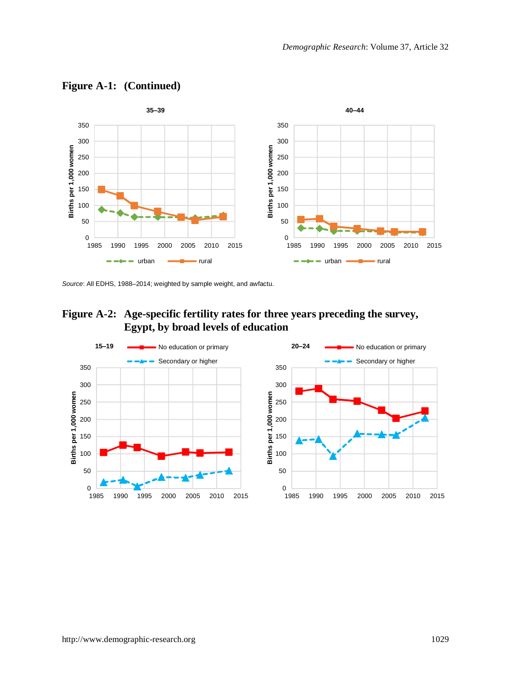

**Figure A-1: (Continued)**

*Source*: All EDHS, 1988–2014; weighted by sample weight, and awfactu.